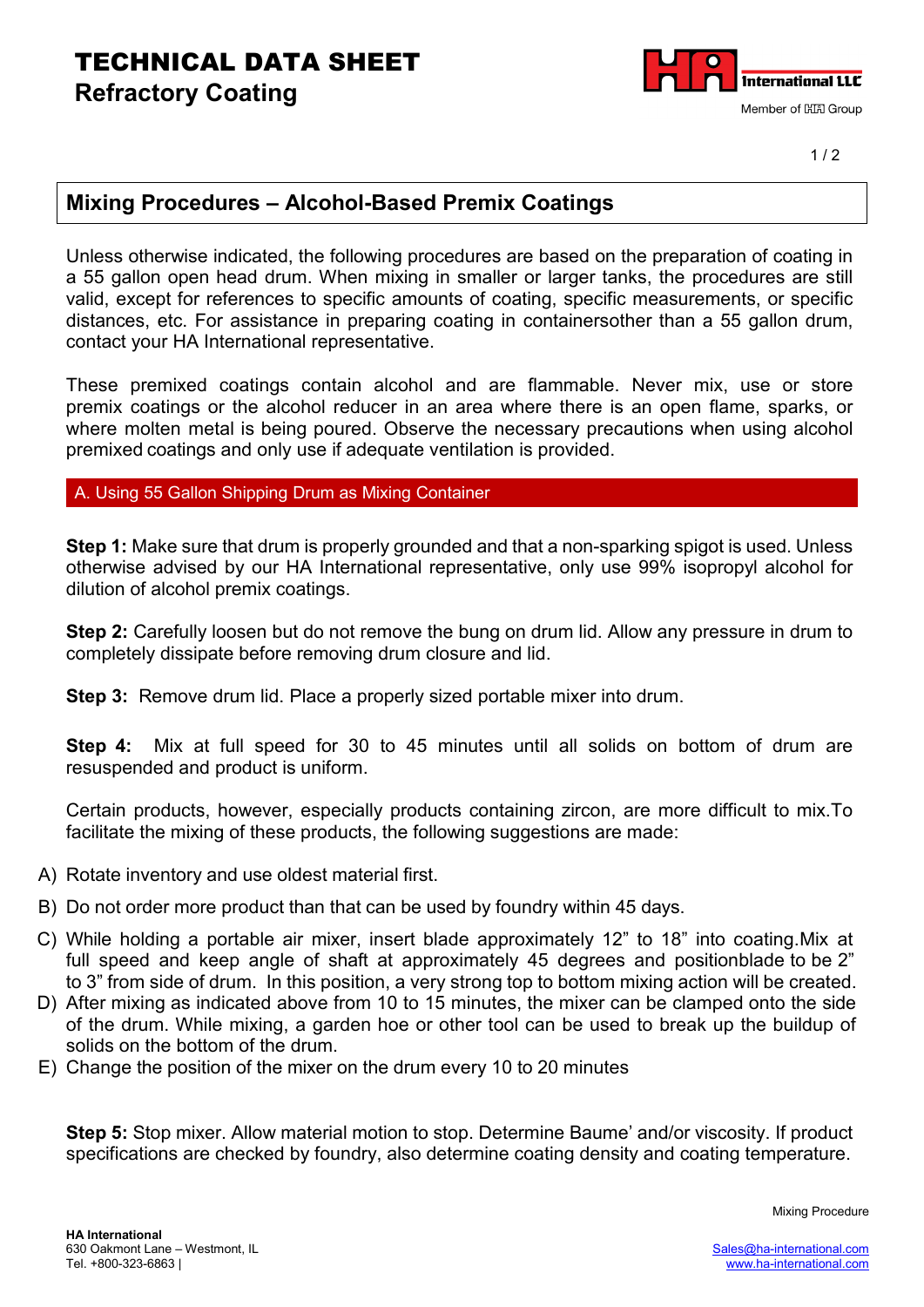## TECHNICAL DATA SHEET **Refractory Coating**



 $1/2$ 

### **Mixing Procedures – Alcohol-Based Premix Coatings**

Unless otherwise indicated, the following procedures are based on the preparation of coating in a 55 gallon open head drum. When mixing in smaller or larger tanks, the procedures are still valid, except for references to specific amounts of coating, specific measurements, or specific distances, etc. For assistance in preparing coating in containers other than a 55 gallon drum, contact your HA International representative.

These premixed coatings contain alcohol and are flammable. Never mix, use or store premix coatings or the alcohol reducer in an area where there is an open flame, sparks, or where molten metal is being poured. Observe the necessary precautions when using alcohol premixed coatings and only use if adequate ventilation is provided.

### A. Using 55 Gallon Shipping Drum as Mixing Container

**Step 1:** Make sure that drum is properly grounded and that a non-sparking spigot is used. Unless otherwise advised by our HA International representative, only use 99% isopropyl alcohol for dilution of alcohol premix coatings.

**Step 2:** Carefully loosen but do not remove the bung on drum lid. Allow any pressure in drum to completely dissipate before removing drum closure and lid.

**Step 3:** Remove drum lid. Place a properly sized portable mixer into drum.

**Step 4:** Mix at full speed for 30 to 45 minutes until all solids on bottom of drum are resuspended and product is uniform.

Certain products, however, especially products containing zircon, are more difficult to mix.To facilitate the mixing of these products, the following suggestions are made:

- A) Rotate inventory and use oldest material first.
- B) Do not order more product than that can be used by foundry within 45 days.
- C) While holding a portable air mixer, insert blade approximately 12" to 18" into coating.Mix at full speed and keep angle of shaft at approximately 45 degrees and positionblade to be 2" to 3" from side of drum. In this position, a very strong top to bottom mixing action will be created.
- D) After mixing as indicated above from 10 to 15 minutes, the mixer can be clamped onto the side of the drum. While mixing, a garden hoe or other tool can be used to break up the buildup of solids on the bottom of the drum.
- E) Change the position of the mixer on the drum every 10 to 20 minutes

**Step 5:** Stop mixer. Allow material motion to stop. Determine Baume' and/or viscosity. If product specifications are checked by foundry, also determine coating density and coating temperature.

Mixing Procedure